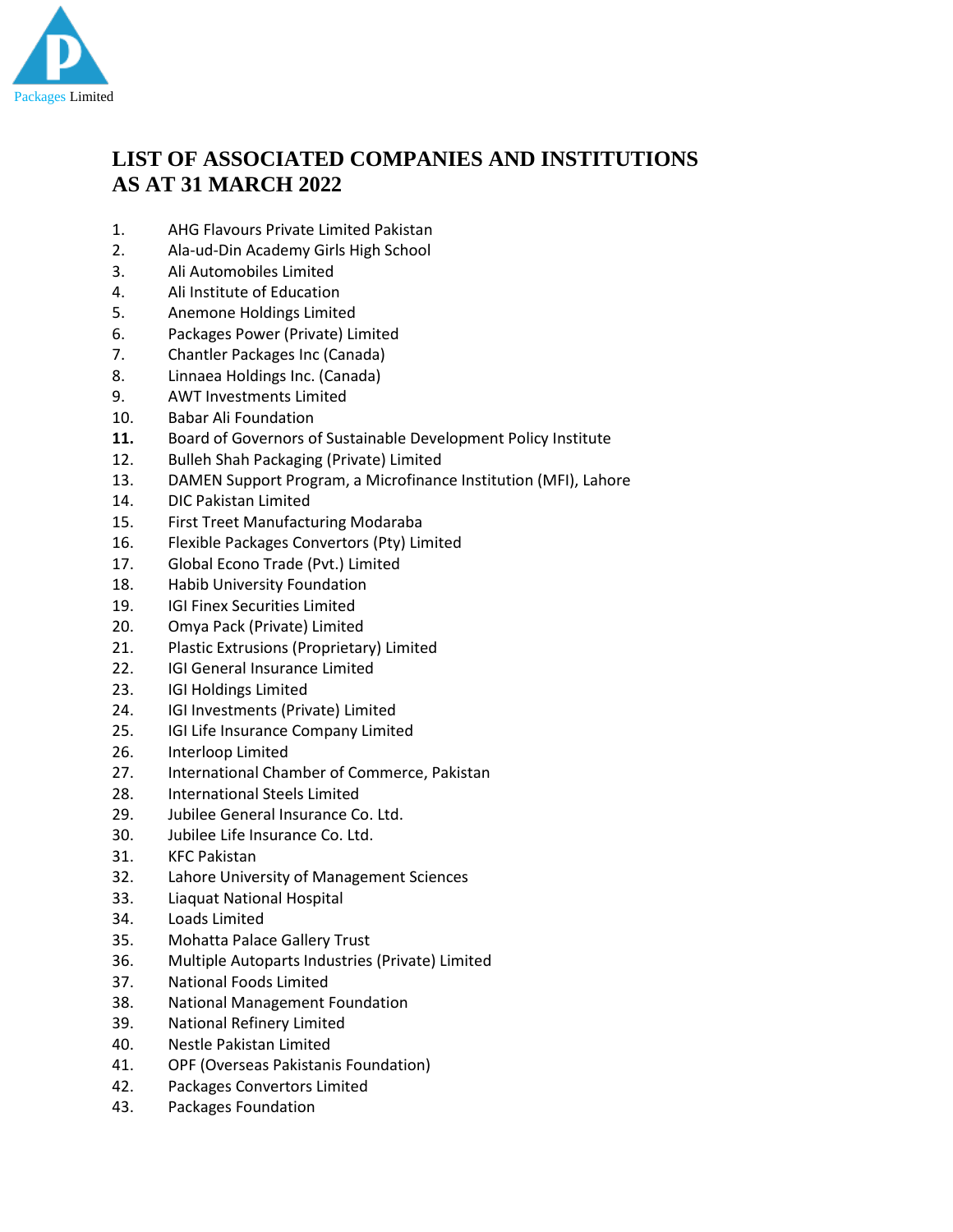

## **LIST OF ASSOCIATED COMPANIES AND INSTITUTIONS AS AT 31 MARCH 2022**

- 1. AHG Flavours Private Limited Pakistan
- 2. Ala-ud-Din Academy Girls High School
- 3. Ali Automobiles Limited
- 4. Ali Institute of Education
- 5. Anemone Holdings Limited
- 6. Packages Power (Private) Limited
- 7. Chantler Packages Inc (Canada)
- 8. Linnaea Holdings Inc. (Canada)
- 9. AWT Investments Limited
- 10. Babar Ali Foundation
- **11.** Board of Governors of Sustainable Development Policy Institute
- 12. Bulleh Shah Packaging (Private) Limited
- 13. DAMEN Support Program, a Microfinance Institution (MFI), Lahore
- 14. DIC Pakistan Limited
- 15. First Treet Manufacturing Modaraba
- 16. Flexible Packages Convertors (Pty) Limited
- 17. Global Econo Trade (Pvt.) Limited
- 18. Habib University Foundation
- 19. IGI Finex Securities Limited
- 20. Omya Pack (Private) Limited
- 21. Plastic Extrusions (Proprietary) Limited
- 22. IGI General Insurance Limited
- 23. IGI Holdings Limited
- 24. IGI Investments (Private) Limited
- 25. IGI Life Insurance Company Limited
- 26. Interloop Limited
- 27. International Chamber of Commerce, Pakistan
- 28. International Steels Limited
- 29. Jubilee General Insurance Co. Ltd.
- 30. Jubilee Life Insurance Co. Ltd.
- 31. KFC Pakistan
- 32. Lahore University of Management Sciences
- 33. Liaquat National Hospital
- 34. Loads Limited
- 35. Mohatta Palace Gallery Trust
- 36. Multiple Autoparts Industries (Private) Limited
- 37. National Foods Limited
- 38. National Management Foundation
- 39. National Refinery Limited
- 40. Nestle Pakistan Limited
- 41. OPF (Overseas Pakistanis Foundation)
- 42. Packages Convertors Limited
- 43. Packages Foundation